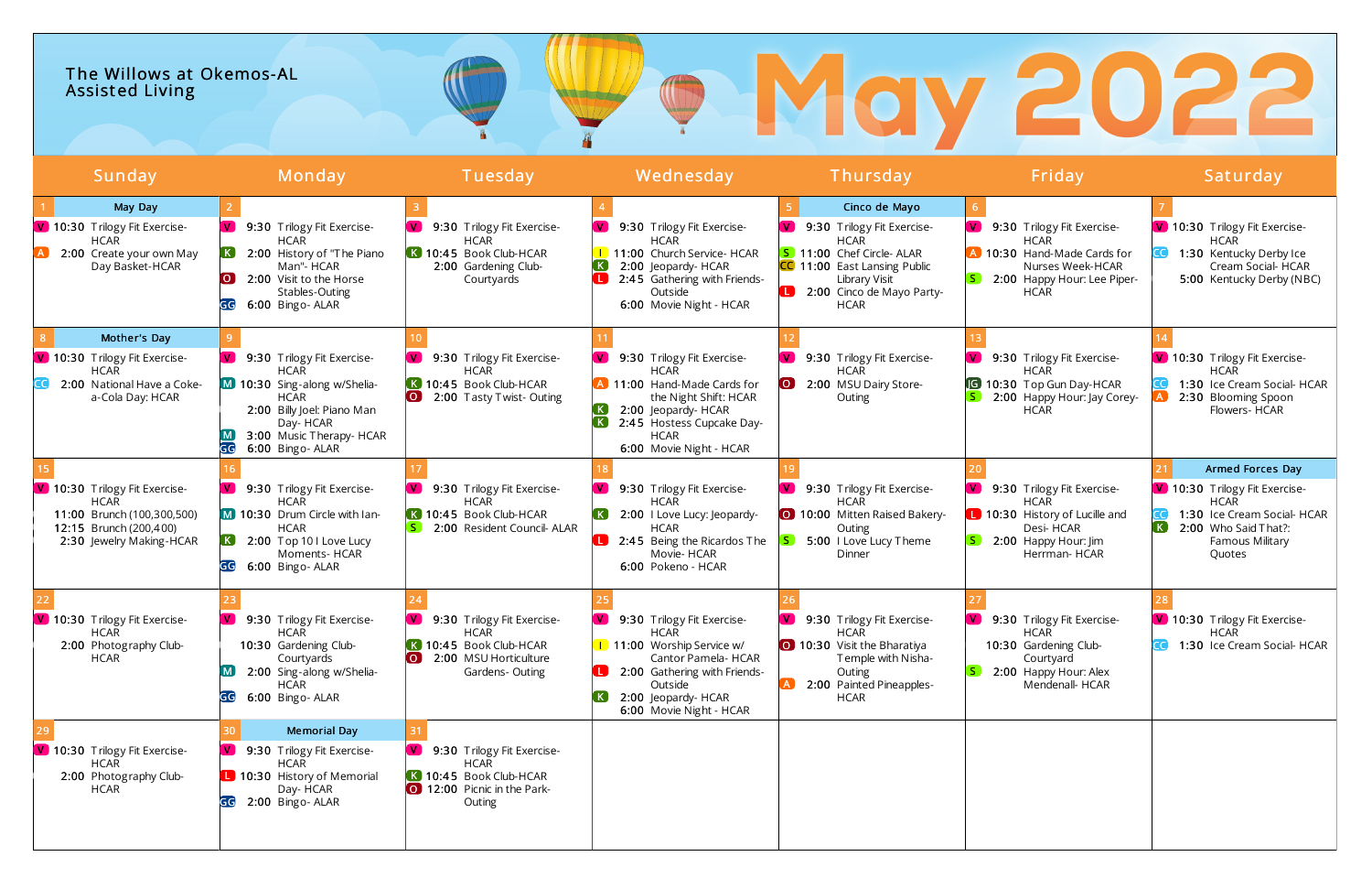| The Willows at Okemos-AL<br>Assisted Living |        |         |           |               |        |          |
|---------------------------------------------|--------|---------|-----------|---------------|--------|----------|
| Sunday                                      | Monday | Tuesday | Wednesday | Thursday      | Friday | Saturday |
| May Day                                     |        |         |           | Cinco de Mayo |        |          |

| May Day                                                                                                                          |                                                                                                                                                                                                |                                                                                                                                         |                                                                                                                                                                                                               | Cinco de Mayo                                                                                                                                                                     |                                                                                                                                            |                                                                                                                                                                |
|----------------------------------------------------------------------------------------------------------------------------------|------------------------------------------------------------------------------------------------------------------------------------------------------------------------------------------------|-----------------------------------------------------------------------------------------------------------------------------------------|---------------------------------------------------------------------------------------------------------------------------------------------------------------------------------------------------------------|-----------------------------------------------------------------------------------------------------------------------------------------------------------------------------------|--------------------------------------------------------------------------------------------------------------------------------------------|----------------------------------------------------------------------------------------------------------------------------------------------------------------|
| V 10:30 Trilogy Fit Exercise-<br><b>HCAR</b><br>2:00 Create your own May<br>Day Basket-HCAR                                      | 9:30 Trilogy Fit Exercise-<br>W.<br>HCAR<br>2:00 History of "The Piano<br>Man"- HCAR<br>2:00 Visit to the Horse<br>LO J<br>Stables-Outing<br>6:00 Bingo- ALAR<br>GG                            | 9:30 Trilogy Fit Exercise-<br><b>HCAR</b><br>K 10:45 Book Club-HCAR<br>2:00 Gardening Club-<br>Courtyards                               | 9:30 Trilogy Fit Exercise-<br>V.<br><b>HCAR</b><br>1 11:00 Church Service- HCAR<br>$\mathsf{K}$ .<br>2:00 Jeopardy- HCAR<br>п.<br>2:45 Gathering with Friends-<br>Outside<br>6:00 Movie Night - HCAR          | $\mathbf{v}$<br>9:30 Trilogy Fit Exercise-<br>HCAR<br>5 11:00 Chef Circle- ALAR<br>CC 11:00 East Lansing Public<br>Library Visit<br>œ<br>2:00 Cinco de Mayo Party-<br><b>HCAR</b> | V 9:30 Trilogy Fit Exercise-<br><b>HCAR</b><br>10:30 Hand-Made Cards for<br>Nurses Week-HCAR<br>2:00 Happy Hour: Lee Piper-<br><b>HCAR</b> | V 10:30 Trilogy Fit Exercise-<br><b>HCAR</b><br>1:30 Kentucky Derby Ice<br>Cream Social-HCAR<br>5:00 Kentucky Derby (NBC)                                      |
| Mother's Day                                                                                                                     |                                                                                                                                                                                                |                                                                                                                                         |                                                                                                                                                                                                               |                                                                                                                                                                                   |                                                                                                                                            |                                                                                                                                                                |
| V 10:30 Trilogy Fit Exercise-<br><b>HCAR</b><br>2:00 National Have a Coke-<br>a-Cola Day: HCAR                                   | 9:30 Trilogy Fit Exercise-<br><b>M</b><br><b>HCAR</b><br>M 10:30 Sing-along w/Shelia-<br>HCAR<br>2:00 Billy Joel: Piano Man<br>Day- HCAR<br>3:00 Music Therapy- HCAR<br>GG<br>6:00 Bingo- ALAR | 9:30 Trilogy Fit Exercise-<br><b>HCAR</b><br>$\overline{\mathbf{K}}$ 10:45 Book Club-HCAR<br>$\overline{)}$<br>2:00 Tasty Twist-Outing  | V.<br>9:30 Trilogy Fit Exercise-<br>HCAR<br>A 11:00 Hand-Made Cards for<br>the Night Shift: HCAR<br>2:00 Jeopardy- HCAR<br>K<br>2:45 Hostess Cupcake Day-<br><b>HCAR</b><br>6:00 Movie Night - HCAR           | 9:30 Trilogy Fit Exercise-<br><b>HCAR</b><br>2:00 MSU Dairy Store-<br>Outing                                                                                                      | 9:30 Trilogy Fit Exercise-<br><b>HCAR</b><br><b>G</b> 10:30 Top Gun Day-HCAR<br>2:00 Happy Hour: Jay Corey-<br><b>HCAR</b>                 | V 10:30 Trilogy Fit Exercise-<br><b>HCAR</b><br>1:30 Ice Cream Social- HCAR<br>2:30 Blooming Spoon<br>Flowers- HCAR                                            |
|                                                                                                                                  |                                                                                                                                                                                                |                                                                                                                                         |                                                                                                                                                                                                               |                                                                                                                                                                                   |                                                                                                                                            | Armed Forces Day                                                                                                                                               |
| V 10:30 Trilogy Fit Exercise-<br><b>HCAR</b><br>11:00 Brunch (100,300,500)<br>12:15 Brunch (200,400)<br>2:30 Jewelry Making-HCAR | 9:30 Trilogy Fit Exercise-<br>HCAR<br>M 10:30 Drum Circle with lan-<br><b>HCAR</b><br>$\overline{K}$ 2:00 Top 10 I Love Lucy<br>Moments- HCAR<br>GG<br>6:00 Bingo- ALAR                        | 9:30 Trilogy Fit Exercise-<br><b>HCAR</b><br>K 10:45 Book Club-HCAR<br>2:00 Resident Council- ALAR                                      | $\mathbf{V}$<br>9:30 Trilogy Fit Exercise-<br><b>HCAR</b><br>2:00 I Love Lucy: Jeopardy-<br><b>HCAR</b><br>2:45 Being the Ricardos The<br>Movie-HCAR<br>6:00 Pokeno - HCAR                                    | 9:30 Trilogy Fit Exercise-<br><b>HCAR</b><br>10:00 Mitten Raised Bakery-<br>Outing<br>5:00 I Love Lucy Theme<br>Dinner                                                            | 9:30 Trilogy Fit Exercise-<br><b>HCAR</b><br>10:30 History of Lucille and<br>Desi- HCAR<br>2:00 Happy Hour: Jim<br>Herrman-HCAR            | V 10:30 Trilogy Fit Exercise-<br><b>HCAR</b><br>1:30 Ice Cream Social- HCAR<br>$\left( \mathbf{K}\right)$<br>2:00 Who Said That?:<br>Famous Military<br>Quotes |
| V 10:30 Trilogy Fit Exercise-<br>HCAR<br>2:00 Photography Club-<br><b>HCAR</b>                                                   | 9:30 Trilogy Fit Exercise-<br><b>V</b><br><b>HCAR</b><br>10:30 Gardening Club-<br>Courtyards<br>2:00 Sing-along w/Shelia-<br><b>HCAR</b><br>6:00 Bingo- ALAR<br>GG                             | 9:30 Trilogy Fit Exercise-<br><b>HCAR</b><br>10:45 Book Club-HCAR<br>2:00 MSU Horticulture<br>$\overline{\mathbf{O}}$<br>Gardens-Outing | $\mathbf{V}$<br>9:30 Trilogy Fit Exercise-<br>HCAR<br>1 11:00 Worship Service w/<br>Cantor Pamela- HCAR<br><b>L</b> 2:00 Gathering with Friends-<br>Outside<br>2:00 Jeopardy- HCAR<br>6:00 Movie Night - HCAR | 9:30 Trilogy Fit Exercise-<br>$\mathbf{V}$<br><b>HCAR</b><br>0 10:30 Visit the Bharatiya<br>Temple with Nisha-<br>Outing<br>2:00 Painted Pineapples-<br><b>HCAR</b>               | 9:30 Trilogy Fit Exercise-<br><b>HCAR</b><br>10:30 Gardening Club-<br>Courtyard<br>2:00 Happy Hour: Alex<br>Mendenall- HCAR                | V 10:30 Trilogy Fit Exercise-<br><b>HCAR</b><br>1:30 Ice Cream Social- HCAR                                                                                    |
| V 10:30 Trilogy Fit Exercise-<br>HCAR<br>2:00 Photography Club-<br><b>HCAR</b>                                                   | <b>Memorial Day</b><br><b>M</b><br>9:30 Trilogy Fit Exercise-<br>HCAR<br>10:30 History of Memorial<br>Day- HCAR<br>GG 2:00 Bingo-ALAR                                                          | 9:30 Trilogy Fit Exercise-<br><b>HCAR</b><br>K 10:45 Book Club-HCAR<br>12:00 Picnic in the Park-<br>Outing                              |                                                                                                                                                                                                               |                                                                                                                                                                                   |                                                                                                                                            |                                                                                                                                                                |

## 2022